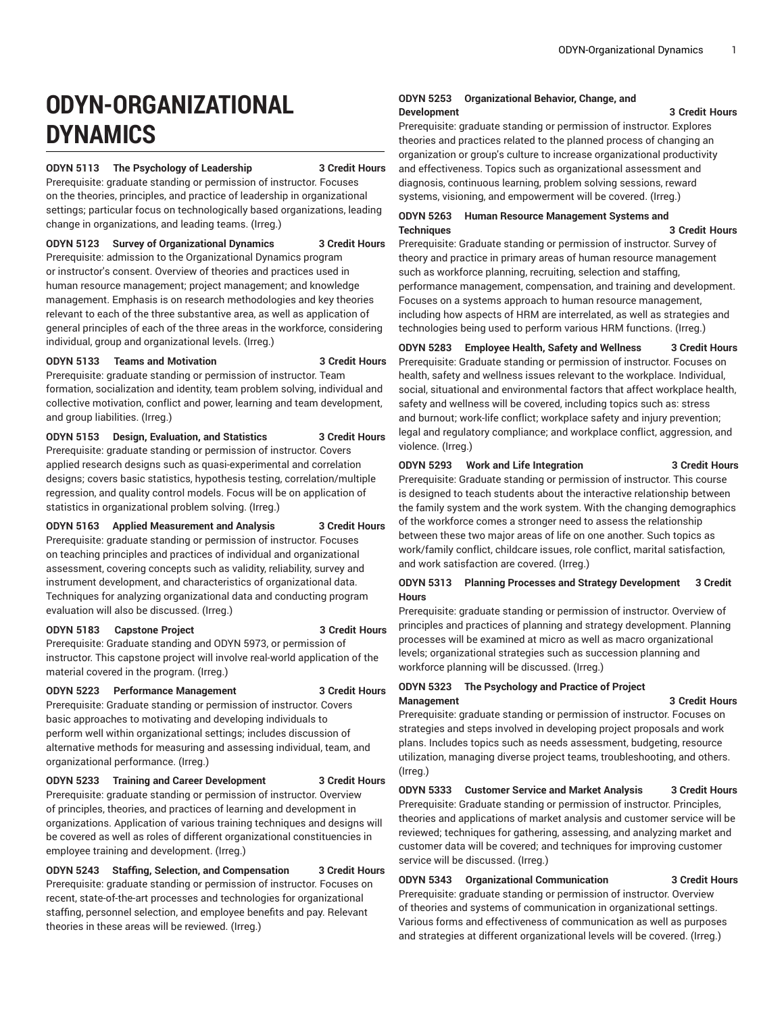# **ODYN-ORGANIZATIONAL DYNAMICS**

#### **ODYN 5113 The Psychology of Leadership 3 Credit Hours**

Prerequisite: graduate standing or permission of instructor. Focuses on the theories, principles, and practice of leadership in organizational settings; particular focus on technologically based organizations, leading change in organizations, and leading teams. (Irreg.)

#### **ODYN 5123 Survey of Organizational Dynamics 3 Credit Hours**

Prerequisite: admission to the Organizational Dynamics program or instructor's consent. Overview of theories and practices used in human resource management; project management; and knowledge management. Emphasis is on research methodologies and key theories relevant to each of the three substantive area, as well as application of general principles of each of the three areas in the workforce, considering individual, group and organizational levels. (Irreg.)

#### **ODYN 5133 Teams and Motivation 3 Credit Hours**

Prerequisite: graduate standing or permission of instructor. Team formation, socialization and identity, team problem solving, individual and collective motivation, conflict and power, learning and team development, and group liabilities. (Irreg.)

#### **ODYN 5153 Design, Evaluation, and Statistics 3 Credit Hours**

Prerequisite: graduate standing or permission of instructor. Covers applied research designs such as quasi-experimental and correlation designs; covers basic statistics, hypothesis testing, correlation/multiple regression, and quality control models. Focus will be on application of statistics in organizational problem solving. (Irreg.)

**ODYN 5163 Applied Measurement and Analysis 3 Credit Hours** Prerequisite: graduate standing or permission of instructor. Focuses on teaching principles and practices of individual and organizational assessment, covering concepts such as validity, reliability, survey and instrument development, and characteristics of organizational data. Techniques for analyzing organizational data and conducting program evaluation will also be discussed. (Irreg.)

#### **ODYN 5183 Capstone Project 3 Credit Hours**

Prerequisite: Graduate standing and ODYN 5973, or permission of instructor. This capstone project will involve real-world application of the material covered in the program. (Irreg.)

#### **ODYN 5223 Performance Management 3 Credit Hours**

Prerequisite: Graduate standing or permission of instructor. Covers basic approaches to motivating and developing individuals to perform well within organizational settings; includes discussion of alternative methods for measuring and assessing individual, team, and organizational performance. (Irreg.)

**ODYN 5233 Training and Career Development 3 Credit Hours** Prerequisite: graduate standing or permission of instructor. Overview of principles, theories, and practices of learning and development in organizations. Application of various training techniques and designs will be covered as well as roles of different organizational constituencies in employee training and development. (Irreg.)

**ODYN 5243 Staffing, Selection, and Compensation 3 Credit Hours** Prerequisite: graduate standing or permission of instructor. Focuses on recent, state-of-the-art processes and technologies for organizational staffing, personnel selection, and employee benefits and pay. Relevant theories in these areas will be reviewed. (Irreg.)

#### **ODYN 5253 Organizational Behavior, Change, and Development 3 Credit Hours**

Prerequisite: graduate standing or permission of instructor. Explores theories and practices related to the planned process of changing an organization or group's culture to increase organizational productivity and effectiveness. Topics such as organizational assessment and diagnosis, continuous learning, problem solving sessions, reward systems, visioning, and empowerment will be covered. (Irreg.)

#### **ODYN 5263 Human Resource Management Systems and Techniques 3 Credit Hours**

Prerequisite: Graduate standing or permission of instructor. Survey of theory and practice in primary areas of human resource management such as workforce planning, recruiting, selection and staffing, performance management, compensation, and training and development. Focuses on a systems approach to human resource management, including how aspects of HRM are interrelated, as well as strategies and technologies being used to perform various HRM functions. (Irreg.)

**ODYN 5283 Employee Health, Safety and Wellness 3 Credit Hours**

Prerequisite: Graduate standing or permission of instructor. Focuses on health, safety and wellness issues relevant to the workplace. Individual, social, situational and environmental factors that affect workplace health, safety and wellness will be covered, including topics such as: stress and burnout; work-life conflict; workplace safety and injury prevention; legal and regulatory compliance; and workplace conflict, aggression, and violence. (Irreg.)

#### **ODYN 5293 Work and Life Integration 3 Credit Hours**

Prerequisite: Graduate standing or permission of instructor. This course is designed to teach students about the interactive relationship between the family system and the work system. With the changing demographics of the workforce comes a stronger need to assess the relationship between these two major areas of life on one another. Such topics as work/family conflict, childcare issues, role conflict, marital satisfaction, and work satisfaction are covered. (Irreg.)

### **ODYN 5313 Planning Processes and Strategy Development 3 Credit Hours**

Prerequisite: graduate standing or permission of instructor. Overview of principles and practices of planning and strategy development. Planning processes will be examined at micro as well as macro organizational levels; organizational strategies such as succession planning and workforce planning will be discussed. (Irreg.)

### **ODYN 5323 The Psychology and Practice of Project Management 3 Credit Hours**

Prerequisite: graduate standing or permission of instructor. Focuses on strategies and steps involved in developing project proposals and work plans. Includes topics such as needs assessment, budgeting, resource utilization, managing diverse project teams, troubleshooting, and others. (Irreg.)

**ODYN 5333 Customer Service and Market Analysis 3 Credit Hours** Prerequisite: Graduate standing or permission of instructor. Principles, theories and applications of market analysis and customer service will be reviewed; techniques for gathering, assessing, and analyzing market and customer data will be covered; and techniques for improving customer service will be discussed. (Irreg.)

**ODYN 5343 Organizational Communication 3 Credit Hours** Prerequisite: graduate standing or permission of instructor. Overview of theories and systems of communication in organizational settings. Various forms and effectiveness of communication as well as purposes and strategies at different organizational levels will be covered. (Irreg.)